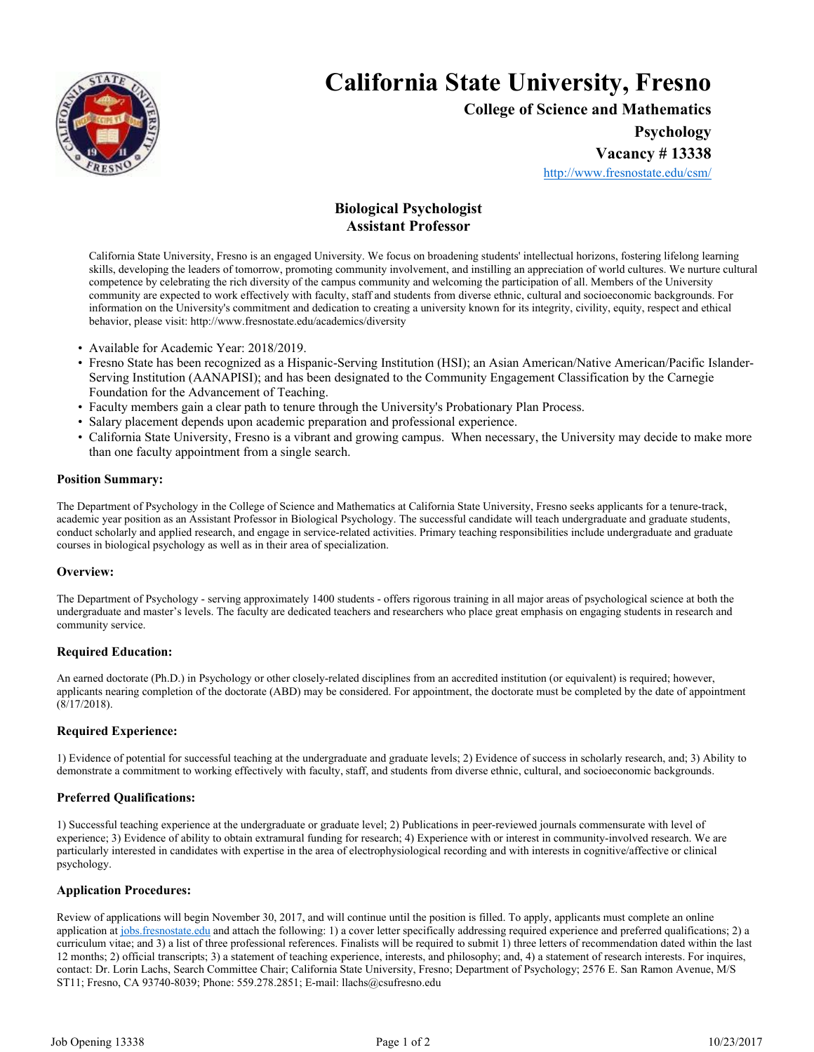

# **California State University, Fresno**

**College of Science and Mathematics Psychology**

**Vacancy # 13338**

http://www.fresnostate.edu/csm/

# **Biological Psychologist Assistant Professor**

California State University, Fresno is an engaged University. We focus on broadening students' intellectual horizons, fostering lifelong learning skills, developing the leaders of tomorrow, promoting community involvement, and instilling an appreciation of world cultures. We nurture cultural competence by celebrating the rich diversity of the campus community and welcoming the participation of all. Members of the University community are expected to work effectively with faculty, staff and students from diverse ethnic, cultural and socioeconomic backgrounds. For information on the University's commitment and dedication to creating a university known for its integrity, civility, equity, respect and ethical behavior, please visit: http://www.fresnostate.edu/academics/diversity

- Available for Academic Year: 2018/2019.
- Fresno State has been recognized as a Hispanic-Serving Institution (HSI); an Asian American/Native American/Pacific Islander-Serving Institution (AANAPISI); and has been designated to the Community Engagement Classification by the Carnegie Foundation for the Advancement of Teaching.
- Faculty members gain a clear path to tenure through the University's Probationary Plan Process.
- Salary placement depends upon academic preparation and professional experience.
- California State University, Fresno is a vibrant and growing campus. When necessary, the University may decide to make more than one faculty appointment from a single search.

#### **Position Summary:**

The Department of Psychology in the College of Science and Mathematics at California State University, Fresno seeks applicants for a tenure-track, academic year position as an Assistant Professor in Biological Psychology. The successful candidate will teach undergraduate and graduate students, conduct scholarly and applied research, and engage in service-related activities. Primary teaching responsibilities include undergraduate and graduate courses in biological psychology as well as in their area of specialization.

### **Overview:**

The Department of Psychology - serving approximately 1400 students - offers rigorous training in all major areas of psychological science at both the undergraduate and master's levels. The faculty are dedicated teachers and researchers who place great emphasis on engaging students in research and community service.

### **Required Education:**

An earned doctorate (Ph.D.) in Psychology or other closely-related disciplines from an accredited institution (or equivalent) is required; however, applicants nearing completion of the doctorate (ABD) may be considered. For appointment, the doctorate must be completed by the date of appointment (8/17/2018).

### **Required Experience:**

1) Evidence of potential for successful teaching at the undergraduate and graduate levels; 2) Evidence of success in scholarly research, and; 3) Ability to demonstrate a commitment to working effectively with faculty, staff, and students from diverse ethnic, cultural, and socioeconomic backgrounds.

### **Preferred Qualifications:**

1) Successful teaching experience at the undergraduate or graduate level; 2) Publications in peer-reviewed journals commensurate with level of experience; 3) Evidence of ability to obtain extramural funding for research; 4) Experience with or interest in community-involved research. We are particularly interested in candidates with expertise in the area of electrophysiological recording and with interests in cognitive/affective or clinical psychology.

#### **Application Procedures:**

Review of applications will begin November 30, 2017, and will continue until the position is filled. To apply, applicants must complete an online application at jobs.fresnostate.edu and attach the following: 1) a cover letter specifically addressing required experience and preferred qualifications; 2) a curriculum vitae; and 3) a list of three professional references. Finalists will be required to submit 1) three letters of recommendation dated within the last 12 months; 2) official transcripts; 3) a statement of teaching experience, interests, and philosophy; and, 4) a statement of research interests. For inquires, contact: Dr. Lorin Lachs, Search Committee Chair; California State University, Fresno; Department of Psychology; 2576 E. San Ramon Avenue, M/S ST11; Fresno, CA 93740-8039; Phone: 559.278.2851; E-mail: llachs@csufresno.edu